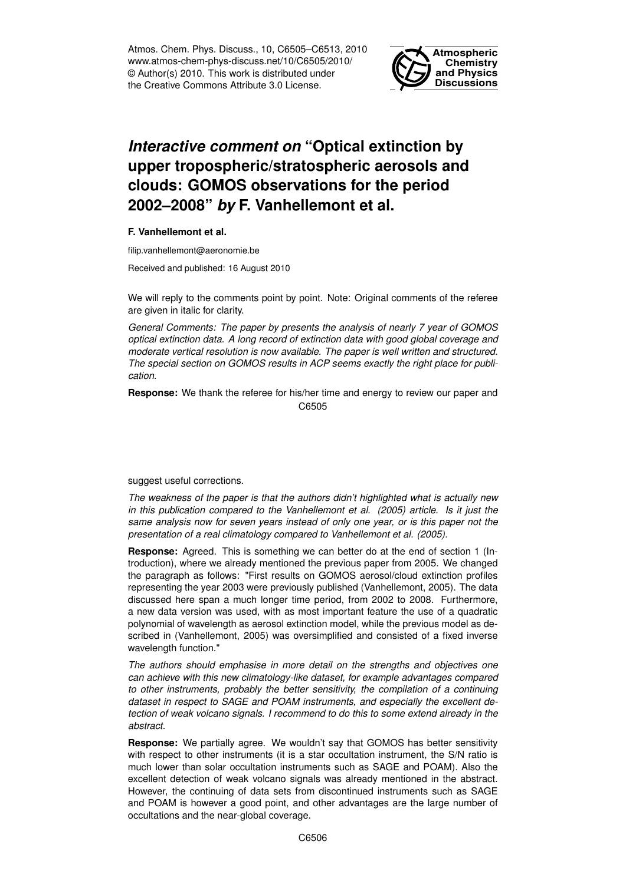Atmos. Chem. Phys. Discuss., 10, C6505–C6513, 2010 www.atmos-chem-phys-discuss.net/10/C6505/2010/ © Author(s) 2010. This work is distributed under the Creative Commons Attribute 3.0 License.



# *Interactive comment on* **"Optical extinction by upper tropospheric/stratospheric aerosols and clouds: GOMOS observations for the period 2002–2008"** *by* **F. Vanhellemont et al.**

## **F. Vanhellemont et al.**

filip.vanhellemont@aeronomie.be

Received and published: 16 August 2010

We will reply to the comments point by point. Note: Original comments of the referee are given in italic for clarity.

*General Comments: The paper by presents the analysis of nearly 7 year of GOMOS optical extinction data. A long record of extinction data with good global coverage and moderate vertical resolution is now available. The paper is well written and structured. The special section on GOMOS results in ACP seems exactly the right place for publication.*

**Response:** We thank the referee for his/her time and energy to review our paper and C6505

suggest useful corrections.

*The weakness of the paper is that the authors didn't highlighted what is actually new in this publication compared to the Vanhellemont et al. (2005) article. Is it just the same analysis now for seven years instead of only one year, or is this paper not the presentation of a real climatology compared to Vanhellemont et al. (2005).*

**Response:** Agreed. This is something we can better do at the end of section 1 (Introduction), where we already mentioned the previous paper from 2005. We changed the paragraph as follows: "First results on GOMOS aerosol/cloud extinction profiles representing the year 2003 were previously published (Vanhellemont, 2005). The data discussed here span a much longer time period, from 2002 to 2008. Furthermore, a new data version was used, with as most important feature the use of a quadratic polynomial of wavelength as aerosol extinction model, while the previous model as described in (Vanhellemont, 2005) was oversimplified and consisted of a fixed inverse wavelength function."

*The authors should emphasise in more detail on the strengths and objectives one can achieve with this new climatology-like dataset, for example advantages compared to other instruments, probably the better sensitivity, the compilation of a continuing dataset in respect to SAGE and POAM instruments, and especially the excellent detection of weak volcano signals. I recommend to do this to some extend already in the abstract.*

**Response:** We partially agree. We wouldn't say that GOMOS has better sensitivity with respect to other instruments (it is a star occultation instrument, the S/N ratio is much lower than solar occultation instruments such as SAGE and POAM). Also the excellent detection of weak volcano signals was already mentioned in the abstract. However, the continuing of data sets from discontinued instruments such as SAGE and POAM is however a good point, and other advantages are the large number of occultations and the near-global coverage.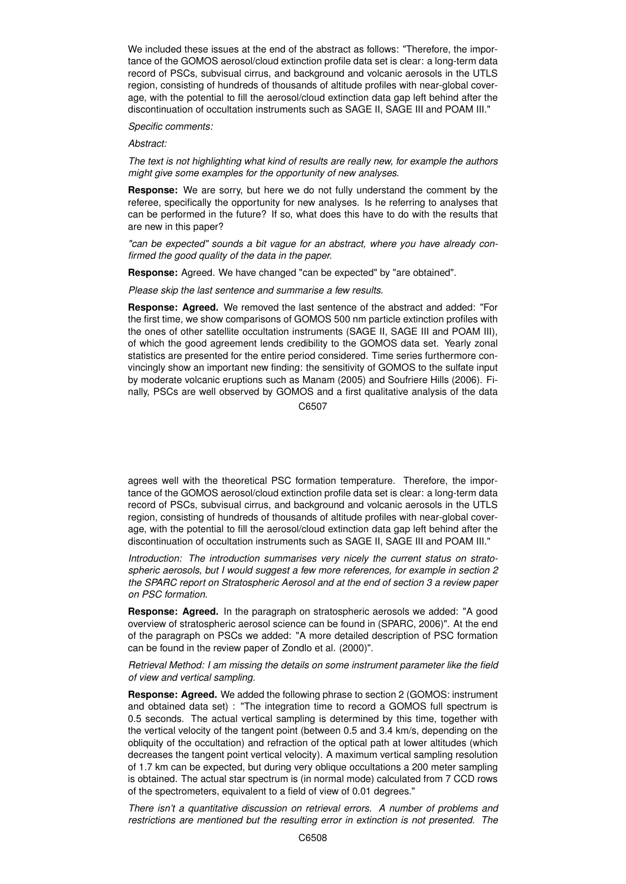We included these issues at the end of the abstract as follows: "Therefore, the importance of the GOMOS aerosol/cloud extinction profile data set is clear: a long-term data record of PSCs, subvisual cirrus, and background and volcanic aerosols in the UTLS region, consisting of hundreds of thousands of altitude profiles with near-global coverage, with the potential to fill the aerosol/cloud extinction data gap left behind after the discontinuation of occultation instruments such as SAGE II, SAGE III and POAM III."

### *Specific comments:*

#### *Abstract:*

*The text is not highlighting what kind of results are really new, for example the authors might give some examples for the opportunity of new analyses.*

**Response:** We are sorry, but here we do not fully understand the comment by the referee, specifically the opportunity for new analyses. Is he referring to analyses that can be performed in the future? If so, what does this have to do with the results that are new in this paper?

*"can be expected" sounds a bit vague for an abstract, where you have already confirmed the good quality of the data in the paper.*

**Response:** Agreed. We have changed "can be expected" by "are obtained".

*Please skip the last sentence and summarise a few results.*

**Response: Agreed.** We removed the last sentence of the abstract and added: "For the first time, we show comparisons of GOMOS 500 nm particle extinction profiles with the ones of other satellite occultation instruments (SAGE II, SAGE III and POAM III), of which the good agreement lends credibility to the GOMOS data set. Yearly zonal statistics are presented for the entire period considered. Time series furthermore convincingly show an important new finding: the sensitivity of GOMOS to the sulfate input by moderate volcanic eruptions such as Manam (2005) and Soufriere Hills (2006). Finally, PSCs are well observed by GOMOS and a first qualitative analysis of the data

C6507

agrees well with the theoretical PSC formation temperature. Therefore, the importance of the GOMOS aerosol/cloud extinction profile data set is clear: a long-term data record of PSCs, subvisual cirrus, and background and volcanic aerosols in the UTLS region, consisting of hundreds of thousands of altitude profiles with near-global coverage, with the potential to fill the aerosol/cloud extinction data gap left behind after the discontinuation of occultation instruments such as SAGE II, SAGE III and POAM III."

*Introduction: The introduction summarises very nicely the current status on stratospheric aerosols, but I would suggest a few more references, for example in section 2 the SPARC report on Stratospheric Aerosol and at the end of section 3 a review paper on PSC formation.*

**Response: Agreed.** In the paragraph on stratospheric aerosols we added: "A good overview of stratospheric aerosol science can be found in (SPARC, 2006)". At the end of the paragraph on PSCs we added: "A more detailed description of PSC formation can be found in the review paper of Zondlo et al. (2000)".

*Retrieval Method: I am missing the details on some instrument parameter like the field of view and vertical sampling.*

**Response: Agreed.** We added the following phrase to section 2 (GOMOS: instrument and obtained data set) : "The integration time to record a GOMOS full spectrum is 0.5 seconds. The actual vertical sampling is determined by this time, together with the vertical velocity of the tangent point (between 0.5 and 3.4 km/s, depending on the obliquity of the occultation) and refraction of the optical path at lower altitudes (which decreases the tangent point vertical velocity). A maximum vertical sampling resolution of 1.7 km can be expected, but during very oblique occultations a 200 meter sampling is obtained. The actual star spectrum is (in normal mode) calculated from 7 CCD rows of the spectrometers, equivalent to a field of view of 0.01 degrees."

*There isn't a quantitative discussion on retrieval errors. A number of problems and restrictions are mentioned but the resulting error in extinction is not presented. The*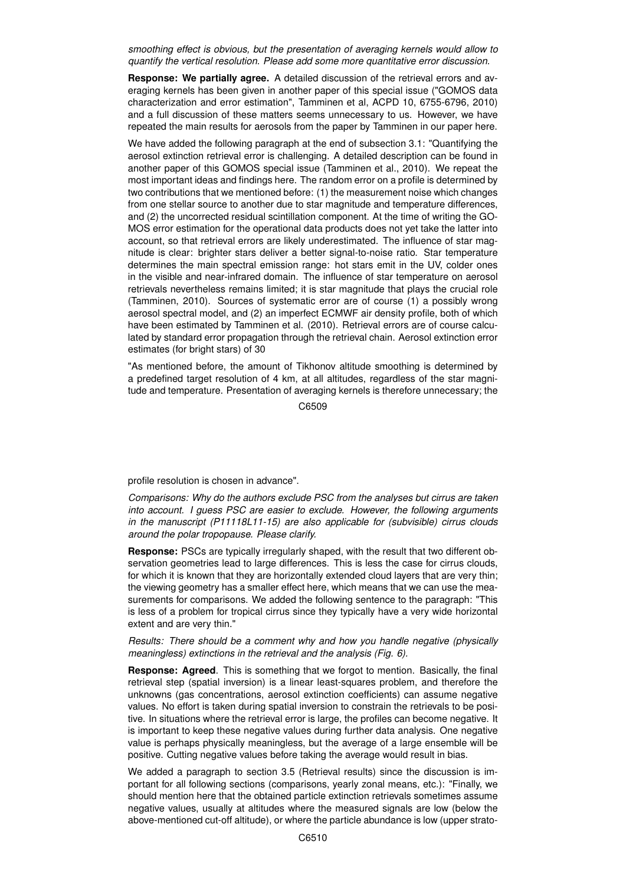*smoothing effect is obvious, but the presentation of averaging kernels would allow to quantify the vertical resolution. Please add some more quantitative error discussion.*

**Response: We partially agree.** A detailed discussion of the retrieval errors and averaging kernels has been given in another paper of this special issue ("GOMOS data characterization and error estimation", Tamminen et al, ACPD 10, 6755-6796, 2010) and a full discussion of these matters seems unnecessary to us. However, we have repeated the main results for aerosols from the paper by Tamminen in our paper here.

We have added the following paragraph at the end of subsection 3.1: "Quantifying the aerosol extinction retrieval error is challenging. A detailed description can be found in another paper of this GOMOS special issue (Tamminen et al., 2010). We repeat the most important ideas and findings here. The random error on a profile is determined by two contributions that we mentioned before: (1) the measurement noise which changes from one stellar source to another due to star magnitude and temperature differences, and (2) the uncorrected residual scintillation component. At the time of writing the GO-MOS error estimation for the operational data products does not yet take the latter into account, so that retrieval errors are likely underestimated. The influence of star magnitude is clear: brighter stars deliver a better signal-to-noise ratio. Star temperature determines the main spectral emission range: hot stars emit in the UV, colder ones in the visible and near-infrared domain. The influence of star temperature on aerosol retrievals nevertheless remains limited; it is star magnitude that plays the crucial role (Tamminen, 2010). Sources of systematic error are of course (1) a possibly wrong aerosol spectral model, and (2) an imperfect ECMWF air density profile, both of which have been estimated by Tamminen et al. (2010). Retrieval errors are of course calculated by standard error propagation through the retrieval chain. Aerosol extinction error estimates (for bright stars) of 30

"As mentioned before, the amount of Tikhonov altitude smoothing is determined by a predefined target resolution of 4 km, at all altitudes, regardless of the star magnitude and temperature. Presentation of averaging kernels is therefore unnecessary; the

C6509

profile resolution is chosen in advance".

*Comparisons: Why do the authors exclude PSC from the analyses but cirrus are taken into account. I guess PSC are easier to exclude. However, the following arguments in the manuscript (P11118L11-15) are also applicable for (subvisible) cirrus clouds around the polar tropopause. Please clarify.*

**Response:** PSCs are typically irregularly shaped, with the result that two different observation geometries lead to large differences. This is less the case for cirrus clouds, for which it is known that they are horizontally extended cloud layers that are very thin; the viewing geometry has a smaller effect here, which means that we can use the measurements for comparisons. We added the following sentence to the paragraph: "This is less of a problem for tropical cirrus since they typically have a very wide horizontal extent and are very thin."

## *Results: There should be a comment why and how you handle negative (physically meaningless) extinctions in the retrieval and the analysis (Fig. 6).*

**Response: Agreed**. This is something that we forgot to mention. Basically, the final retrieval step (spatial inversion) is a linear least-squares problem, and therefore the unknowns (gas concentrations, aerosol extinction coefficients) can assume negative values. No effort is taken during spatial inversion to constrain the retrievals to be positive. In situations where the retrieval error is large, the profiles can become negative. It is important to keep these negative values during further data analysis. One negative value is perhaps physically meaningless, but the average of a large ensemble will be positive. Cutting negative values before taking the average would result in bias.

We added a paragraph to section 3.5 (Retrieval results) since the discussion is important for all following sections (comparisons, yearly zonal means, etc.): "Finally, we should mention here that the obtained particle extinction retrievals sometimes assume negative values, usually at altitudes where the measured signals are low (below the above-mentioned cut-off altitude), or where the particle abundance is low (upper strato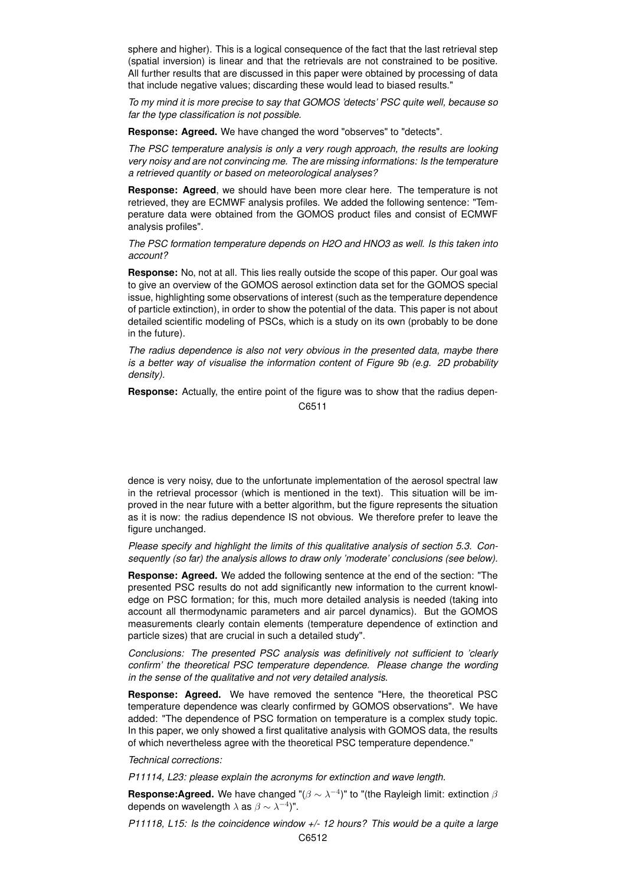sphere and higher). This is a logical consequence of the fact that the last retrieval step (spatial inversion) is linear and that the retrievals are not constrained to be positive. All further results that are discussed in this paper were obtained by processing of data that include negative values; discarding these would lead to biased results."

*To my mind it is more precise to say that GOMOS 'detects' PSC quite well, because so far the type classification is not possible.*

**Response: Agreed.** We have changed the word "observes" to "detects".

*The PSC temperature analysis is only a very rough approach, the results are looking very noisy and are not convincing me. The are missing informations: Is the temperature a retrieved quantity or based on meteorological analyses?*

**Response: Agreed**, we should have been more clear here. The temperature is not retrieved, they are ECMWF analysis profiles. We added the following sentence: "Temperature data were obtained from the GOMOS product files and consist of ECMWF analysis profiles".

*The PSC formation temperature depends on H2O and HNO3 as well. Is this taken into account?*

**Response:** No, not at all. This lies really outside the scope of this paper. Our goal was to give an overview of the GOMOS aerosol extinction data set for the GOMOS special issue, highlighting some observations of interest (such as the temperature dependence of particle extinction), in order to show the potential of the data. This paper is not about detailed scientific modeling of PSCs, which is a study on its own (probably to be done in the future).

*The radius dependence is also not very obvious in the presented data, maybe there is a better way of visualise the information content of Figure 9b (e.g. 2D probability density).*

**Response:** Actually, the entire point of the figure was to show that the radius depen-

C6511

dence is very noisy, due to the unfortunate implementation of the aerosol spectral law in the retrieval processor (which is mentioned in the text). This situation will be improved in the near future with a better algorithm, but the figure represents the situation as it is now: the radius dependence IS not obvious. We therefore prefer to leave the figure unchanged.

*Please specify and highlight the limits of this qualitative analysis of section 5.3. Consequently (so far) the analysis allows to draw only 'moderate' conclusions (see below).*

**Response: Agreed.** We added the following sentence at the end of the section: "The presented PSC results do not add significantly new information to the current knowledge on PSC formation; for this, much more detailed analysis is needed (taking into account all thermodynamic parameters and air parcel dynamics). But the GOMOS measurements clearly contain elements (temperature dependence of extinction and particle sizes) that are crucial in such a detailed study".

*Conclusions: The presented PSC analysis was definitively not sufficient to 'clearly confirm' the theoretical PSC temperature dependence. Please change the wording in the sense of the qualitative and not very detailed analysis.*

**Response: Agreed.** We have removed the sentence "Here, the theoretical PSC temperature dependence was clearly confirmed by GOMOS observations". We have added: "The dependence of PSC formation on temperature is a complex study topic. In this paper, we only showed a first qualitative analysis with GOMOS data, the results of which nevertheless agree with the theoretical PSC temperature dependence."

*Technical corrections:*

*P11114, L23: please explain the acronyms for extinction and wave length.*

**Response:Agreed.** We have changed " $(\beta \sim \lambda^{-4})$ " to "(the Rayleigh limit: extinction  $\beta$ depends on wavelength  $\lambda$  as  $\beta \sim \lambda^{-4})$ ".

*P11118, L15: Is the coincidence window +/- 12 hours? This would be a quite a large*